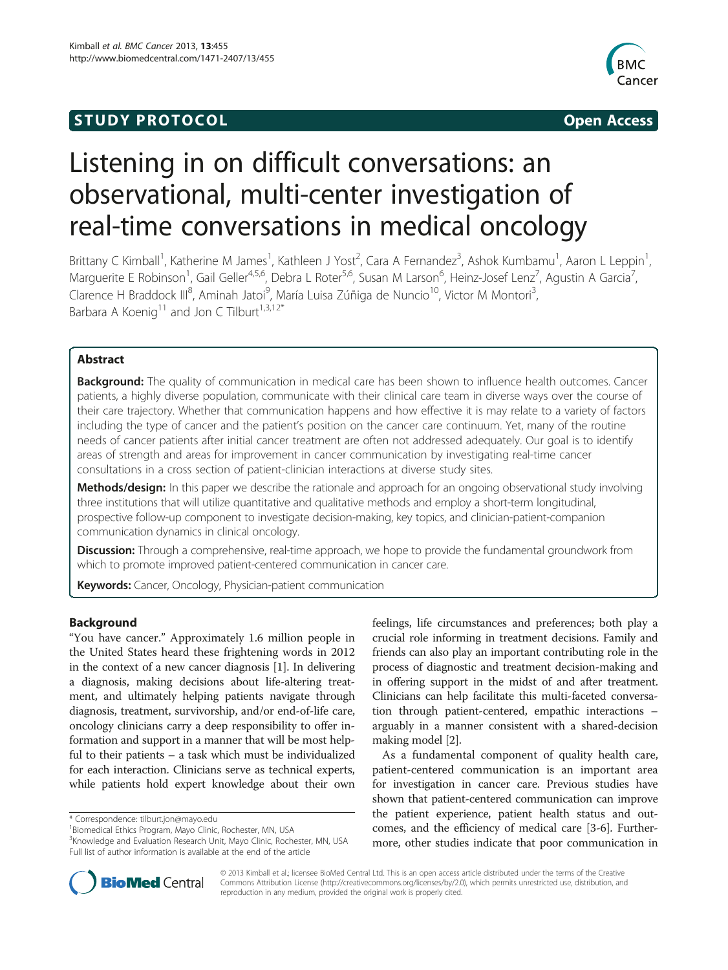## **STUDY PROTOCOL CONSUMING THE STUDY PROTOCOL**



# Listening in on difficult conversations: an observational, multi-center investigation of real-time conversations in medical oncology

Brittany C Kimball<sup>1</sup>, Katherine M James<sup>1</sup>, Kathleen J Yost<sup>2</sup>, Cara A Fernandez<sup>3</sup>, Ashok Kumbamu<sup>1</sup>, Aaron L Leppin<sup>1</sup> , Marguerite E Robinson<sup>1</sup>, Gail Geller<sup>4,5,6</sup>, Debra L Roter<sup>5,6</sup>, Susan M Larson<sup>6</sup>, Heinz-Josef Lenz<sup>7</sup>, Agustin A Garcia<sup>7</sup> , Clarence H Braddock III<sup>8</sup>, Aminah Jatoi<sup>9</sup>, María Luisa Zúñiga de Nuncio<sup>10</sup>, Victor M Montori<sup>3</sup> , Barbara A Koenig<sup>11</sup> and Jon C Tilburt<sup>1,3,12\*</sup>

### Abstract

Background: The quality of communication in medical care has been shown to influence health outcomes. Cancer patients, a highly diverse population, communicate with their clinical care team in diverse ways over the course of their care trajectory. Whether that communication happens and how effective it is may relate to a variety of factors including the type of cancer and the patient's position on the cancer care continuum. Yet, many of the routine needs of cancer patients after initial cancer treatment are often not addressed adequately. Our goal is to identify areas of strength and areas for improvement in cancer communication by investigating real-time cancer consultations in a cross section of patient-clinician interactions at diverse study sites.

Methods/design: In this paper we describe the rationale and approach for an ongoing observational study involving three institutions that will utilize quantitative and qualitative methods and employ a short-term longitudinal, prospective follow-up component to investigate decision-making, key topics, and clinician-patient-companion communication dynamics in clinical oncology.

Discussion: Through a comprehensive, real-time approach, we hope to provide the fundamental groundwork from which to promote improved patient-centered communication in cancer care.

Keywords: Cancer, Oncology, Physician-patient communication

#### Background

"You have cancer." Approximately 1.6 million people in the United States heard these frightening words in 2012 in the context of a new cancer diagnosis [[1](#page-8-0)]. In delivering a diagnosis, making decisions about life-altering treatment, and ultimately helping patients navigate through diagnosis, treatment, survivorship, and/or end-of-life care, oncology clinicians carry a deep responsibility to offer information and support in a manner that will be most helpful to their patients – a task which must be individualized for each interaction. Clinicians serve as technical experts, while patients hold expert knowledge about their own

feelings, life circumstances and preferences; both play a crucial role informing in treatment decisions. Family and friends can also play an important contributing role in the process of diagnostic and treatment decision-making and in offering support in the midst of and after treatment. Clinicians can help facilitate this multi-faceted conversation through patient-centered, empathic interactions – arguably in a manner consistent with a shared-decision making model [[2\]](#page-8-0).

As a fundamental component of quality health care, patient-centered communication is an important area for investigation in cancer care. Previous studies have shown that patient-centered communication can improve the patient experience, patient health status and outcomes, and the efficiency of medical care [\[3-6](#page-8-0)]. Furthermore, other studies indicate that poor communication in



© 2013 Kimball et al.; licensee BioMed Central Ltd. This is an open access article distributed under the terms of the Creative Commons Attribution License [\(http://creativecommons.org/licenses/by/2.0\)](http://creativecommons.org/licenses/by/2.0), which permits unrestricted use, distribution, and reproduction in any medium, provided the original work is properly cited.

<sup>\*</sup> Correspondence: [tilburt.jon@mayo.edu](mailto:tilburt.jon@mayo.edu) <sup>1</sup>

<sup>&</sup>lt;sup>1</sup> Biomedical Ethics Program, Mayo Clinic, Rochester, MN, USA

<sup>&</sup>lt;sup>3</sup> Knowledge and Evaluation Research Unit, Mayo Clinic, Rochester, MN, USA Full list of author information is available at the end of the article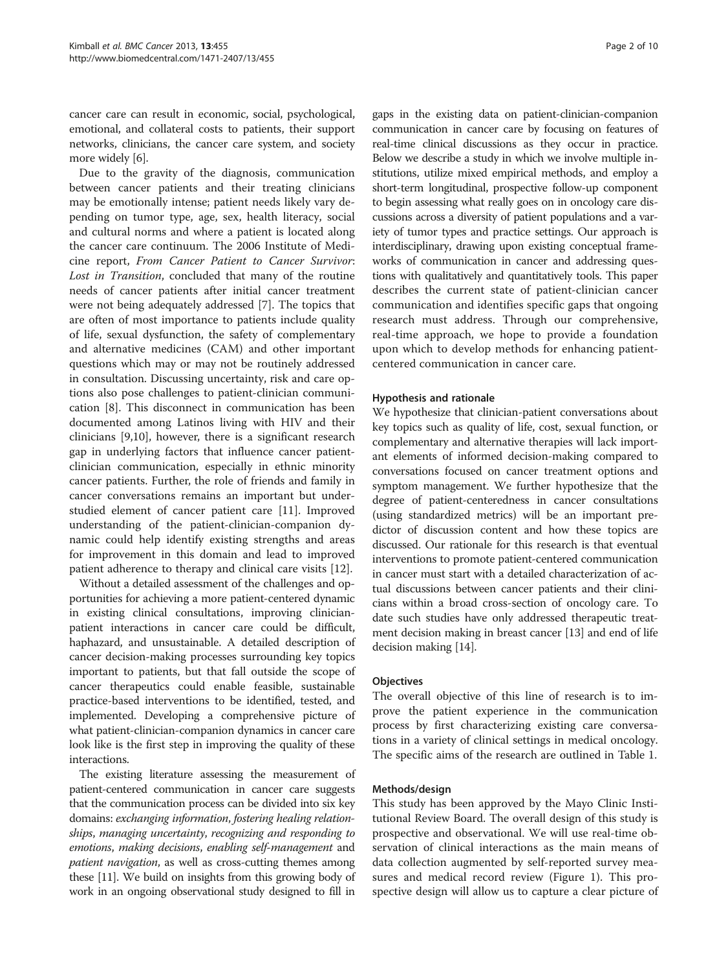cancer care can result in economic, social, psychological, emotional, and collateral costs to patients, their support networks, clinicians, the cancer care system, and society more widely [[6](#page-8-0)].

Due to the gravity of the diagnosis, communication between cancer patients and their treating clinicians may be emotionally intense; patient needs likely vary depending on tumor type, age, sex, health literacy, social and cultural norms and where a patient is located along the cancer care continuum. The 2006 Institute of Medicine report, From Cancer Patient to Cancer Survivor: Lost in Transition, concluded that many of the routine needs of cancer patients after initial cancer treatment were not being adequately addressed [\[7](#page-8-0)]. The topics that are often of most importance to patients include quality of life, sexual dysfunction, the safety of complementary and alternative medicines (CAM) and other important questions which may or may not be routinely addressed in consultation. Discussing uncertainty, risk and care options also pose challenges to patient-clinician communication [[8\]](#page-8-0). This disconnect in communication has been documented among Latinos living with HIV and their clinicians [[9,10\]](#page-8-0), however, there is a significant research gap in underlying factors that influence cancer patientclinician communication, especially in ethnic minority cancer patients. Further, the role of friends and family in cancer conversations remains an important but understudied element of cancer patient care [[11\]](#page-8-0). Improved understanding of the patient-clinician-companion dynamic could help identify existing strengths and areas for improvement in this domain and lead to improved patient adherence to therapy and clinical care visits [\[12](#page-8-0)].

Without a detailed assessment of the challenges and opportunities for achieving a more patient-centered dynamic in existing clinical consultations, improving clinicianpatient interactions in cancer care could be difficult, haphazard, and unsustainable. A detailed description of cancer decision-making processes surrounding key topics important to patients, but that fall outside the scope of cancer therapeutics could enable feasible, sustainable practice-based interventions to be identified, tested, and implemented. Developing a comprehensive picture of what patient-clinician-companion dynamics in cancer care look like is the first step in improving the quality of these interactions.

The existing literature assessing the measurement of patient-centered communication in cancer care suggests that the communication process can be divided into six key domains: exchanging information, fostering healing relationships, managing uncertainty, recognizing and responding to emotions, making decisions, enabling self-management and patient navigation, as well as cross-cutting themes among these [\[11](#page-8-0)]. We build on insights from this growing body of work in an ongoing observational study designed to fill in gaps in the existing data on patient-clinician-companion communication in cancer care by focusing on features of real-time clinical discussions as they occur in practice. Below we describe a study in which we involve multiple institutions, utilize mixed empirical methods, and employ a short-term longitudinal, prospective follow-up component to begin assessing what really goes on in oncology care discussions across a diversity of patient populations and a variety of tumor types and practice settings. Our approach is interdisciplinary, drawing upon existing conceptual frameworks of communication in cancer and addressing questions with qualitatively and quantitatively tools. This paper describes the current state of patient-clinician cancer communication and identifies specific gaps that ongoing research must address. Through our comprehensive, real-time approach, we hope to provide a foundation upon which to develop methods for enhancing patientcentered communication in cancer care.

#### Hypothesis and rationale

We hypothesize that clinician-patient conversations about key topics such as quality of life, cost, sexual function, or complementary and alternative therapies will lack important elements of informed decision-making compared to conversations focused on cancer treatment options and symptom management. We further hypothesize that the degree of patient-centeredness in cancer consultations (using standardized metrics) will be an important predictor of discussion content and how these topics are discussed. Our rationale for this research is that eventual interventions to promote patient-centered communication in cancer must start with a detailed characterization of actual discussions between cancer patients and their clinicians within a broad cross-section of oncology care. To date such studies have only addressed therapeutic treatment decision making in breast cancer [\[13](#page-8-0)] and end of life decision making [\[14](#page-8-0)].

#### **Objectives**

The overall objective of this line of research is to improve the patient experience in the communication process by first characterizing existing care conversations in a variety of clinical settings in medical oncology. The specific aims of the research are outlined in Table [1.](#page-2-0)

#### Methods/design

This study has been approved by the Mayo Clinic Institutional Review Board. The overall design of this study is prospective and observational. We will use real-time observation of clinical interactions as the main means of data collection augmented by self-reported survey measures and medical record review (Figure [1\)](#page-2-0). This prospective design will allow us to capture a clear picture of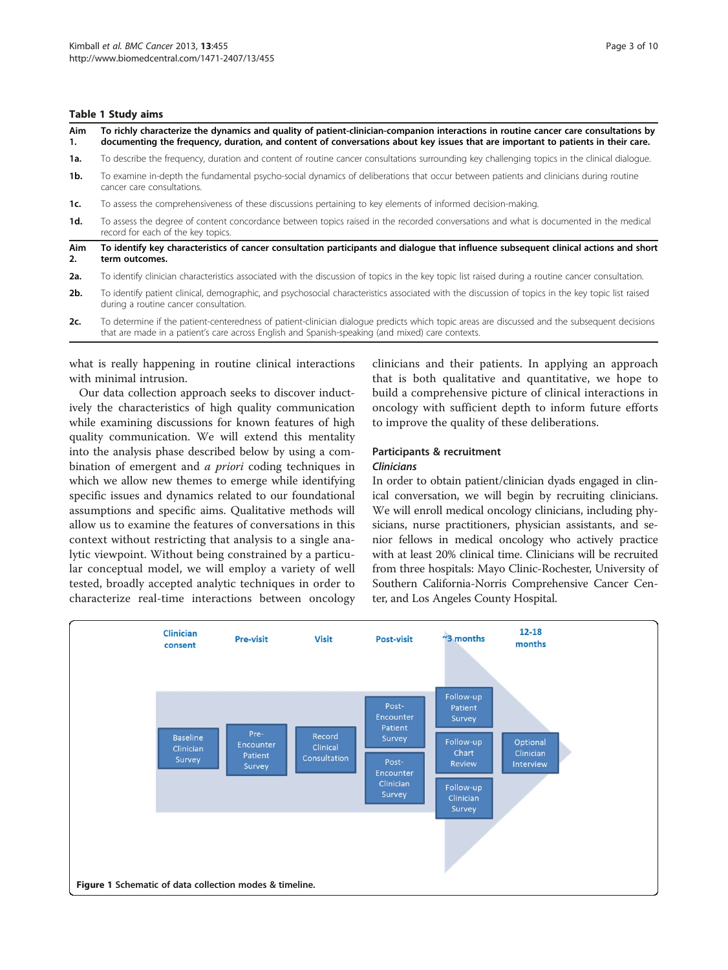#### <span id="page-2-0"></span>Table 1 Study aims

| Aim<br>1. | To richly characterize the dynamics and quality of patient-clinician-companion interactions in routine cancer care consultations by<br>documenting the frequency, duration, and content of conversations about key issues that are important to patients in their care. |  |  |
|-----------|-------------------------------------------------------------------------------------------------------------------------------------------------------------------------------------------------------------------------------------------------------------------------|--|--|
| 1a.       | To describe the frequency, duration and content of routine cancer consultations surrounding key challenging topics in the clinical dialogue.                                                                                                                            |  |  |
| 1b.       | To examine in-depth the fundamental psycho-social dynamics of deliberations that occur between patients and clinicians during routine<br>cancer care consultations.                                                                                                     |  |  |
| 1c.       | To assess the comprehensiveness of these discussions pertaining to key elements of informed decision-making.                                                                                                                                                            |  |  |
| 1d.       | To assess the degree of content concordance between topics raised in the recorded conversations and what is documented in the medical<br>record for each of the key topics.                                                                                             |  |  |
| Aim<br>2. | To identify key characteristics of cancer consultation participants and dialoque that influence subsequent clinical actions and short<br>term outcomes.                                                                                                                 |  |  |
| 2a.       | To identify clinician characteristics associated with the discussion of topics in the key topic list raised during a routine cancer consultation.                                                                                                                       |  |  |
| $2b$ .    | To identify patient clinical, demographic, and psychosocial characteristics associated with the discussion of topics in the key topic list raised<br>during a routine cancer consultation.                                                                              |  |  |
| 2c.       | To determine if the patient-centeredness of patient-clinician dialogue predicts which topic areas are discussed and the subsequent decisions<br>that are made in a patient's care across English and Spanish-speaking (and mixed) care contexts.                        |  |  |
|           |                                                                                                                                                                                                                                                                         |  |  |

what is really happening in routine clinical interactions with minimal intrusion.

Our data collection approach seeks to discover inductively the characteristics of high quality communication while examining discussions for known features of high quality communication. We will extend this mentality into the analysis phase described below by using a combination of emergent and a priori coding techniques in which we allow new themes to emerge while identifying specific issues and dynamics related to our foundational assumptions and specific aims. Qualitative methods will allow us to examine the features of conversations in this context without restricting that analysis to a single analytic viewpoint. Without being constrained by a particular conceptual model, we will employ a variety of well tested, broadly accepted analytic techniques in order to characterize real-time interactions between oncology clinicians and their patients. In applying an approach that is both qualitative and quantitative, we hope to build a comprehensive picture of clinical interactions in oncology with sufficient depth to inform future efforts to improve the quality of these deliberations.

#### Participants & recruitment Clinicians

In order to obtain patient/clinician dyads engaged in clinical conversation, we will begin by recruiting clinicians. We will enroll medical oncology clinicians, including physicians, nurse practitioners, physician assistants, and senior fellows in medical oncology who actively practice with at least 20% clinical time. Clinicians will be recruited from three hospitals: Mayo Clinic-Rochester, University of Southern California-Norris Comprehensive Cancer Center, and Los Angeles County Hospital.

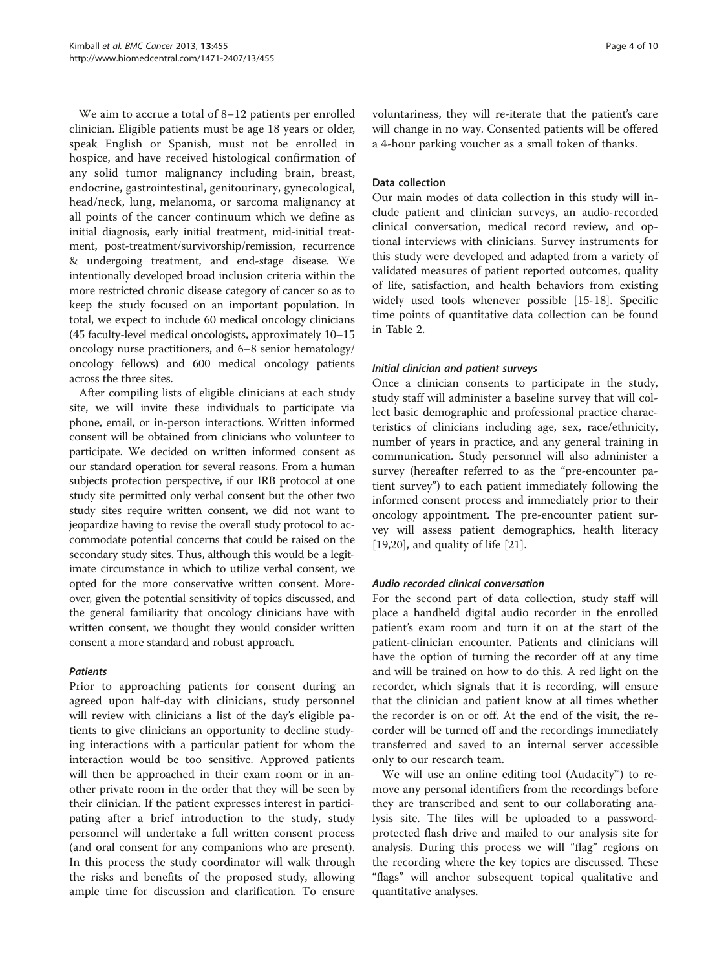We aim to accrue a total of 8–12 patients per enrolled clinician. Eligible patients must be age 18 years or older, speak English or Spanish, must not be enrolled in hospice, and have received histological confirmation of any solid tumor malignancy including brain, breast, endocrine, gastrointestinal, genitourinary, gynecological, head/neck, lung, melanoma, or sarcoma malignancy at all points of the cancer continuum which we define as initial diagnosis, early initial treatment, mid-initial treatment, post-treatment/survivorship/remission, recurrence & undergoing treatment, and end-stage disease. We intentionally developed broad inclusion criteria within the more restricted chronic disease category of cancer so as to keep the study focused on an important population. In total, we expect to include 60 medical oncology clinicians (45 faculty-level medical oncologists, approximately 10–15 oncology nurse practitioners, and 6–8 senior hematology/ oncology fellows) and 600 medical oncology patients across the three sites.

After compiling lists of eligible clinicians at each study site, we will invite these individuals to participate via phone, email, or in-person interactions. Written informed consent will be obtained from clinicians who volunteer to participate. We decided on written informed consent as our standard operation for several reasons. From a human subjects protection perspective, if our IRB protocol at one study site permitted only verbal consent but the other two study sites require written consent, we did not want to jeopardize having to revise the overall study protocol to accommodate potential concerns that could be raised on the secondary study sites. Thus, although this would be a legitimate circumstance in which to utilize verbal consent, we opted for the more conservative written consent. Moreover, given the potential sensitivity of topics discussed, and the general familiarity that oncology clinicians have with written consent, we thought they would consider written consent a more standard and robust approach.

#### **Patients**

Prior to approaching patients for consent during an agreed upon half-day with clinicians, study personnel will review with clinicians a list of the day's eligible patients to give clinicians an opportunity to decline studying interactions with a particular patient for whom the interaction would be too sensitive. Approved patients will then be approached in their exam room or in another private room in the order that they will be seen by their clinician. If the patient expresses interest in participating after a brief introduction to the study, study personnel will undertake a full written consent process (and oral consent for any companions who are present). In this process the study coordinator will walk through the risks and benefits of the proposed study, allowing ample time for discussion and clarification. To ensure voluntariness, they will re-iterate that the patient's care will change in no way. Consented patients will be offered a 4-hour parking voucher as a small token of thanks.

#### Data collection

Our main modes of data collection in this study will include patient and clinician surveys, an audio-recorded clinical conversation, medical record review, and optional interviews with clinicians. Survey instruments for this study were developed and adapted from a variety of validated measures of patient reported outcomes, quality of life, satisfaction, and health behaviors from existing widely used tools whenever possible [[15-18\]](#page-8-0). Specific time points of quantitative data collection can be found in Table [2.](#page-4-0)

#### Initial clinician and patient surveys

Once a clinician consents to participate in the study, study staff will administer a baseline survey that will collect basic demographic and professional practice characteristics of clinicians including age, sex, race/ethnicity, number of years in practice, and any general training in communication. Study personnel will also administer a survey (hereafter referred to as the "pre-encounter patient survey") to each patient immediately following the informed consent process and immediately prior to their oncology appointment. The pre-encounter patient survey will assess patient demographics, health literacy [[19,20\]](#page-8-0), and quality of life [[21\]](#page-8-0).

#### Audio recorded clinical conversation

For the second part of data collection, study staff will place a handheld digital audio recorder in the enrolled patient's exam room and turn it on at the start of the patient-clinician encounter. Patients and clinicians will have the option of turning the recorder off at any time and will be trained on how to do this. A red light on the recorder, which signals that it is recording, will ensure that the clinician and patient know at all times whether the recorder is on or off. At the end of the visit, the recorder will be turned off and the recordings immediately transferred and saved to an internal server accessible only to our research team.

We will use an online editing tool (Audacity™) to remove any personal identifiers from the recordings before they are transcribed and sent to our collaborating analysis site. The files will be uploaded to a passwordprotected flash drive and mailed to our analysis site for analysis. During this process we will "flag" regions on the recording where the key topics are discussed. These "flags" will anchor subsequent topical qualitative and quantitative analyses.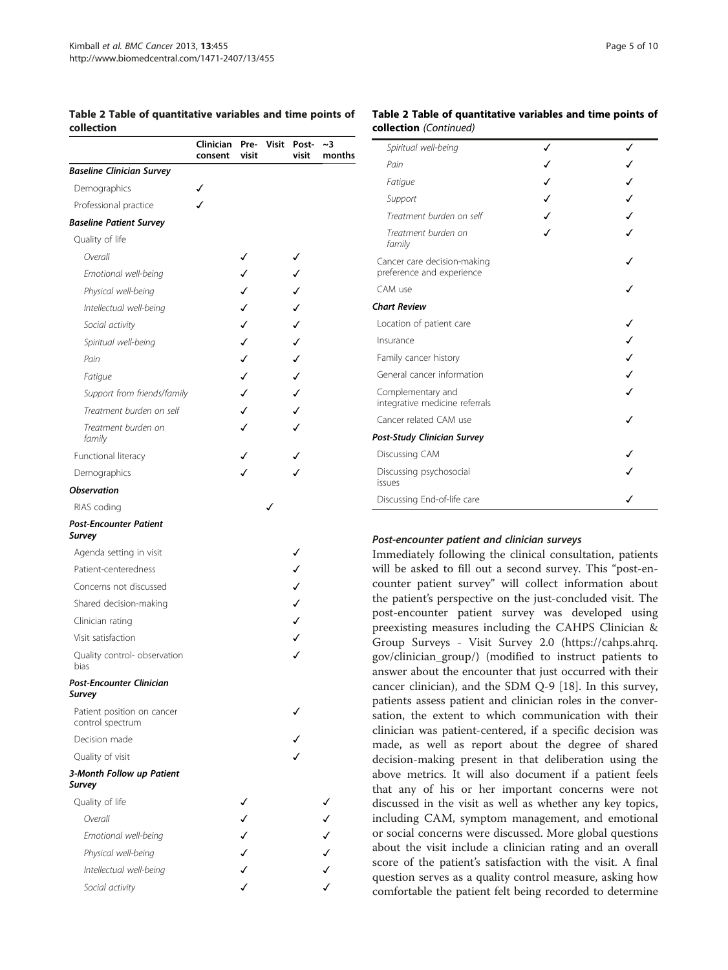#### <span id="page-4-0"></span>Table 2 Table of quantitative variables and time points of collection

#### Clinician Preconsent visit Visit Postvisit  $~^{\circ}$ months Baseline Clinician Survey Demographics **√** Professional practice **√** Baseline Patient Survey Quality of life Overall  $\checkmark$ Emotional well-being ✓ ✓ Physical well-being **√** √ Intellectual well-being  $\checkmark$ Social activity  $\checkmark$ Spiritual well-being **◯** Pain  $\checkmark$ Fatigue **√** Support from friends/family **√** Treatment burden on self  $\checkmark$ Treatment burden on family ✓ ✓ Functional literacy Demographics **Observation**  $R$ IAS coding  $\sqrt{ }$ Post-Encounter Patient Survey Agenda setting in visit  $\checkmark$ Patient-centeredness ✓ Concerns not discussed ✓ Shared decision-making **∠** Clinician rating Visit satisfaction Quality control- observation bias ✓ Post-Encounter Clinician Survey Patient position on cancer control spectrum ✓ Decision made Quality of visit 3-Month Follow up Patient Survey Quality of life Overall  $\checkmark$ Emotional well-being ✓ ✓ Physical well-being **√** √ Intellectual well-being ✓ ✓ Social activity  $\checkmark$

#### Table 2 Table of quantitative variables and time points of collection (Continued)

| Spiritual well-being                                     | ✓ | ✓ |  |
|----------------------------------------------------------|---|---|--|
| Pain                                                     |   |   |  |
| Fatique                                                  | ✓ |   |  |
| Support                                                  | ℐ |   |  |
| Treatment burden on self                                 |   |   |  |
| Treatment burden on<br>family                            |   |   |  |
| Cancer care decision-making<br>preference and experience |   |   |  |
| CAM use                                                  |   |   |  |
| <b>Chart Review</b>                                      |   |   |  |
| Location of patient care                                 |   |   |  |
| Insurance                                                |   |   |  |
| Family cancer history                                    |   |   |  |
| General cancer information                               |   |   |  |
| Complementary and<br>integrative medicine referrals      |   |   |  |
| Cancer related CAM use                                   |   |   |  |
| Post-Study Clinician Survey                              |   |   |  |
| Discussing CAM                                           |   |   |  |
| Discussing psychosocial<br>issues                        |   |   |  |
| Discussing End-of-life care                              |   |   |  |

#### Post-encounter patient and clinician surveys

Immediately following the clinical consultation, patients will be asked to fill out a second survey. This "post-encounter patient survey" will collect information about the patient's perspective on the just-concluded visit. The post-encounter patient survey was developed using preexisting measures including the CAHPS Clinician & Group Surveys - Visit Survey 2.0 ([https://cahps.ahrq.](https://cahps.ahrq.gov/clinician_group/) [gov/clinician\\_group/](https://cahps.ahrq.gov/clinician_group/)) (modified to instruct patients to answer about the encounter that just occurred with their cancer clinician), and the SDM Q-9 [[18\]](#page-8-0). In this survey, patients assess patient and clinician roles in the conversation, the extent to which communication with their clinician was patient-centered, if a specific decision was made, as well as report about the degree of shared decision-making present in that deliberation using the above metrics. It will also document if a patient feels that any of his or her important concerns were not discussed in the visit as well as whether any key topics, including CAM, symptom management, and emotional or social concerns were discussed. More global questions about the visit include a clinician rating and an overall score of the patient's satisfaction with the visit. A final question serves as a quality control measure, asking how comfortable the patient felt being recorded to determine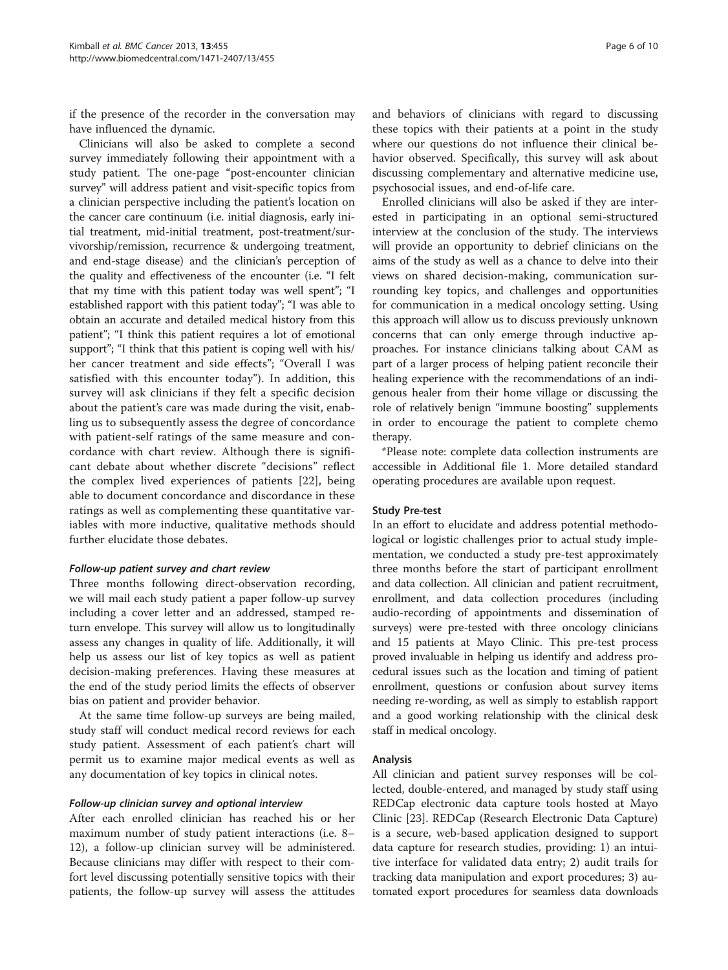if the presence of the recorder in the conversation may have influenced the dynamic.

Clinicians will also be asked to complete a second survey immediately following their appointment with a study patient. The one-page "post-encounter clinician survey" will address patient and visit-specific topics from a clinician perspective including the patient's location on the cancer care continuum (i.e. initial diagnosis, early initial treatment, mid-initial treatment, post-treatment/survivorship/remission, recurrence & undergoing treatment, and end-stage disease) and the clinician's perception of the quality and effectiveness of the encounter (i.e. "I felt that my time with this patient today was well spent"; "I established rapport with this patient today"; "I was able to obtain an accurate and detailed medical history from this patient"; "I think this patient requires a lot of emotional support"; "I think that this patient is coping well with his/ her cancer treatment and side effects"; "Overall I was satisfied with this encounter today"). In addition, this survey will ask clinicians if they felt a specific decision about the patient's care was made during the visit, enabling us to subsequently assess the degree of concordance with patient-self ratings of the same measure and concordance with chart review. Although there is significant debate about whether discrete "decisions" reflect the complex lived experiences of patients [[22](#page-8-0)], being able to document concordance and discordance in these ratings as well as complementing these quantitative variables with more inductive, qualitative methods should further elucidate those debates.

#### Follow-up patient survey and chart review

Three months following direct-observation recording, we will mail each study patient a paper follow-up survey including a cover letter and an addressed, stamped return envelope. This survey will allow us to longitudinally assess any changes in quality of life. Additionally, it will help us assess our list of key topics as well as patient decision-making preferences. Having these measures at the end of the study period limits the effects of observer bias on patient and provider behavior.

At the same time follow-up surveys are being mailed, study staff will conduct medical record reviews for each study patient. Assessment of each patient's chart will permit us to examine major medical events as well as any documentation of key topics in clinical notes.

#### Follow-up clinician survey and optional interview

After each enrolled clinician has reached his or her maximum number of study patient interactions (i.e. 8– 12), a follow-up clinician survey will be administered. Because clinicians may differ with respect to their comfort level discussing potentially sensitive topics with their patients, the follow-up survey will assess the attitudes

and behaviors of clinicians with regard to discussing these topics with their patients at a point in the study where our questions do not influence their clinical behavior observed. Specifically, this survey will ask about discussing complementary and alternative medicine use, psychosocial issues, and end-of-life care.

Enrolled clinicians will also be asked if they are interested in participating in an optional semi-structured interview at the conclusion of the study. The interviews will provide an opportunity to debrief clinicians on the aims of the study as well as a chance to delve into their views on shared decision-making, communication surrounding key topics, and challenges and opportunities for communication in a medical oncology setting. Using this approach will allow us to discuss previously unknown concerns that can only emerge through inductive approaches. For instance clinicians talking about CAM as part of a larger process of helping patient reconcile their healing experience with the recommendations of an indigenous healer from their home village or discussing the role of relatively benign "immune boosting" supplements in order to encourage the patient to complete chemo therapy.

\*Please note: complete data collection instruments are accessible in Additional file [1](#page-7-0). More detailed standard operating procedures are available upon request.

#### Study Pre-test

In an effort to elucidate and address potential methodological or logistic challenges prior to actual study implementation, we conducted a study pre-test approximately three months before the start of participant enrollment and data collection. All clinician and patient recruitment, enrollment, and data collection procedures (including audio-recording of appointments and dissemination of surveys) were pre-tested with three oncology clinicians and 15 patients at Mayo Clinic. This pre-test process proved invaluable in helping us identify and address procedural issues such as the location and timing of patient enrollment, questions or confusion about survey items needing re-wording, as well as simply to establish rapport and a good working relationship with the clinical desk staff in medical oncology.

#### Analysis

All clinician and patient survey responses will be collected, double-entered, and managed by study staff using REDCap electronic data capture tools hosted at Mayo Clinic [\[23](#page-8-0)]. REDCap (Research Electronic Data Capture) is a secure, web-based application designed to support data capture for research studies, providing: 1) an intuitive interface for validated data entry; 2) audit trails for tracking data manipulation and export procedures; 3) automated export procedures for seamless data downloads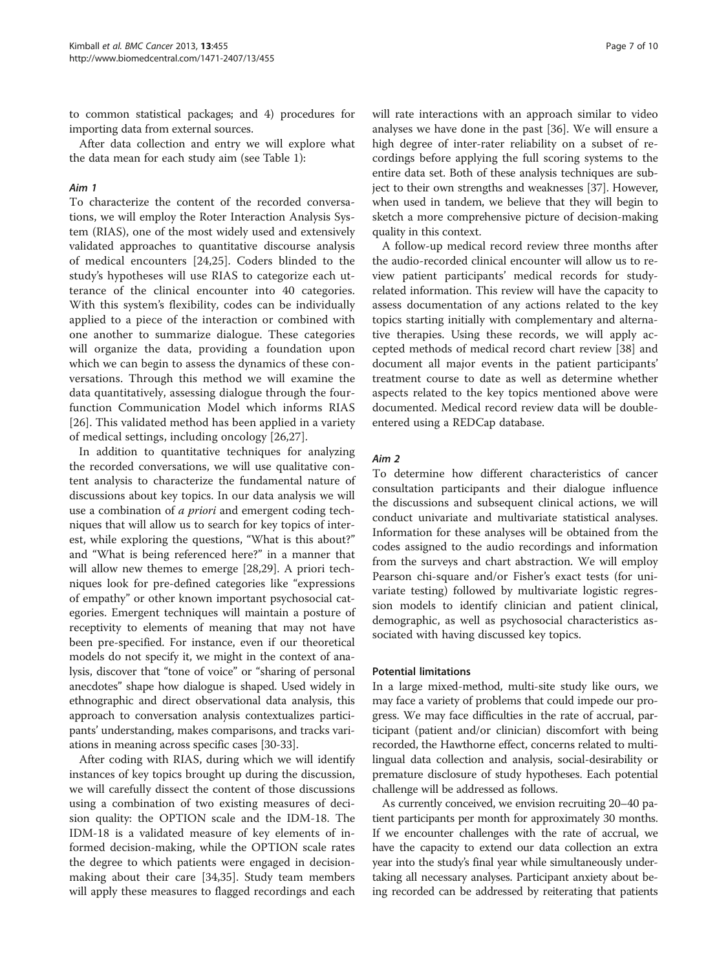to common statistical packages; and 4) procedures for importing data from external sources.

After data collection and entry we will explore what the data mean for each study aim (see Table [1\)](#page-2-0):

#### Aim 1

To characterize the content of the recorded conversations, we will employ the Roter Interaction Analysis System (RIAS), one of the most widely used and extensively validated approaches to quantitative discourse analysis of medical encounters [\[24,25](#page-8-0)]. Coders blinded to the study's hypotheses will use RIAS to categorize each utterance of the clinical encounter into 40 categories. With this system's flexibility, codes can be individually applied to a piece of the interaction or combined with one another to summarize dialogue. These categories will organize the data, providing a foundation upon which we can begin to assess the dynamics of these conversations. Through this method we will examine the data quantitatively, assessing dialogue through the fourfunction Communication Model which informs RIAS [[26\]](#page-8-0). This validated method has been applied in a variety of medical settings, including oncology [\[26](#page-8-0),[27\]](#page-8-0).

In addition to quantitative techniques for analyzing the recorded conversations, we will use qualitative content analysis to characterize the fundamental nature of discussions about key topics. In our data analysis we will use a combination of *a priori* and emergent coding techniques that will allow us to search for key topics of interest, while exploring the questions, "What is this about?" and "What is being referenced here?" in a manner that will allow new themes to emerge [[28,29\]](#page-8-0). A priori techniques look for pre-defined categories like "expressions of empathy" or other known important psychosocial categories. Emergent techniques will maintain a posture of receptivity to elements of meaning that may not have been pre-specified. For instance, even if our theoretical models do not specify it, we might in the context of analysis, discover that "tone of voice" or "sharing of personal anecdotes" shape how dialogue is shaped. Used widely in ethnographic and direct observational data analysis, this approach to conversation analysis contextualizes participants' understanding, makes comparisons, and tracks variations in meaning across specific cases [\[30-33](#page-8-0)].

After coding with RIAS, during which we will identify instances of key topics brought up during the discussion, we will carefully dissect the content of those discussions using a combination of two existing measures of decision quality: the OPTION scale and the IDM-18. The IDM-18 is a validated measure of key elements of informed decision-making, while the OPTION scale rates the degree to which patients were engaged in decisionmaking about their care [\[34,35\]](#page-8-0). Study team members will apply these measures to flagged recordings and each will rate interactions with an approach similar to video analyses we have done in the past [[36](#page-8-0)]. We will ensure a high degree of inter-rater reliability on a subset of recordings before applying the full scoring systems to the entire data set. Both of these analysis techniques are subject to their own strengths and weaknesses [\[37](#page-8-0)]. However, when used in tandem, we believe that they will begin to sketch a more comprehensive picture of decision-making quality in this context.

A follow-up medical record review three months after the audio-recorded clinical encounter will allow us to review patient participants' medical records for studyrelated information. This review will have the capacity to assess documentation of any actions related to the key topics starting initially with complementary and alternative therapies. Using these records, we will apply accepted methods of medical record chart review [\[38\]](#page-8-0) and document all major events in the patient participants' treatment course to date as well as determine whether aspects related to the key topics mentioned above were documented. Medical record review data will be doubleentered using a REDCap database.

#### Aim 2

To determine how different characteristics of cancer consultation participants and their dialogue influence the discussions and subsequent clinical actions, we will conduct univariate and multivariate statistical analyses. Information for these analyses will be obtained from the codes assigned to the audio recordings and information from the surveys and chart abstraction. We will employ Pearson chi-square and/or Fisher's exact tests (for univariate testing) followed by multivariate logistic regression models to identify clinician and patient clinical, demographic, as well as psychosocial characteristics associated with having discussed key topics.

#### Potential limitations

In a large mixed-method, multi-site study like ours, we may face a variety of problems that could impede our progress. We may face difficulties in the rate of accrual, participant (patient and/or clinician) discomfort with being recorded, the Hawthorne effect, concerns related to multilingual data collection and analysis, social-desirability or premature disclosure of study hypotheses. Each potential challenge will be addressed as follows.

As currently conceived, we envision recruiting 20–40 patient participants per month for approximately 30 months. If we encounter challenges with the rate of accrual, we have the capacity to extend our data collection an extra year into the study's final year while simultaneously undertaking all necessary analyses. Participant anxiety about being recorded can be addressed by reiterating that patients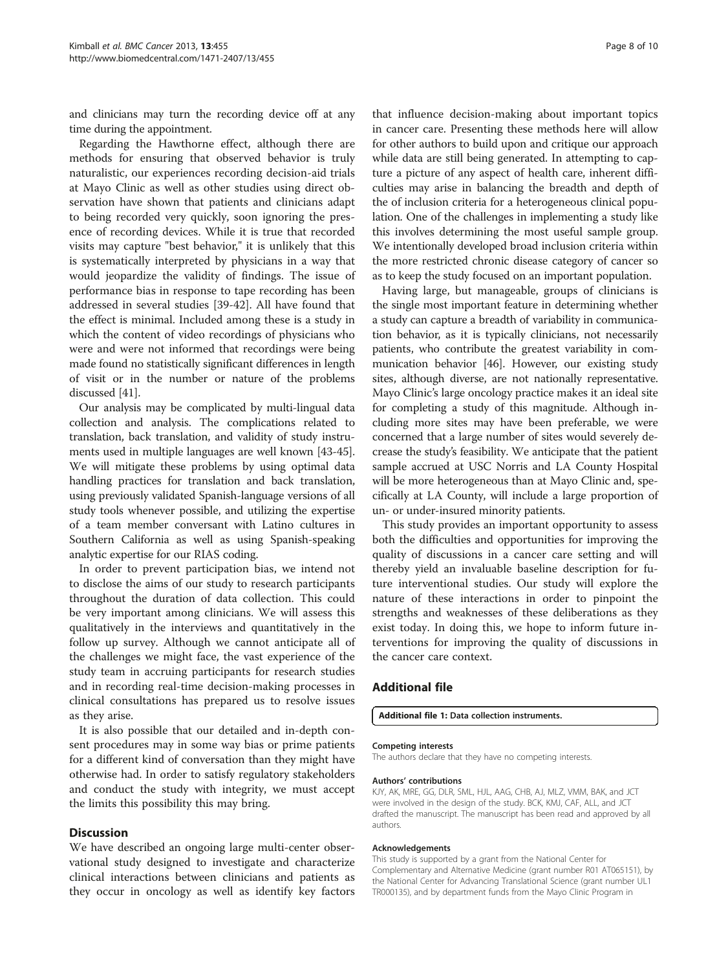<span id="page-7-0"></span>and clinicians may turn the recording device off at any time during the appointment.

Regarding the Hawthorne effect, although there are methods for ensuring that observed behavior is truly naturalistic, our experiences recording decision-aid trials at Mayo Clinic as well as other studies using direct observation have shown that patients and clinicians adapt to being recorded very quickly, soon ignoring the presence of recording devices. While it is true that recorded visits may capture "best behavior," it is unlikely that this is systematically interpreted by physicians in a way that would jeopardize the validity of findings. The issue of performance bias in response to tape recording has been addressed in several studies [[39-](#page-8-0)[42\]](#page-9-0). All have found that the effect is minimal. Included among these is a study in which the content of video recordings of physicians who were and were not informed that recordings were being made found no statistically significant differences in length of visit or in the number or nature of the problems discussed [\[41\]](#page-9-0).

Our analysis may be complicated by multi-lingual data collection and analysis. The complications related to translation, back translation, and validity of study instruments used in multiple languages are well known [[43](#page-9-0)-[45](#page-9-0)]. We will mitigate these problems by using optimal data handling practices for translation and back translation, using previously validated Spanish-language versions of all study tools whenever possible, and utilizing the expertise of a team member conversant with Latino cultures in Southern California as well as using Spanish-speaking analytic expertise for our RIAS coding.

In order to prevent participation bias, we intend not to disclose the aims of our study to research participants throughout the duration of data collection. This could be very important among clinicians. We will assess this qualitatively in the interviews and quantitatively in the follow up survey. Although we cannot anticipate all of the challenges we might face, the vast experience of the study team in accruing participants for research studies and in recording real-time decision-making processes in clinical consultations has prepared us to resolve issues as they arise.

It is also possible that our detailed and in-depth consent procedures may in some way bias or prime patients for a different kind of conversation than they might have otherwise had. In order to satisfy regulatory stakeholders and conduct the study with integrity, we must accept the limits this possibility this may bring.

#### **Discussion**

We have described an ongoing large multi-center observational study designed to investigate and characterize clinical interactions between clinicians and patients as they occur in oncology as well as identify key factors

that influence decision-making about important topics in cancer care. Presenting these methods here will allow for other authors to build upon and critique our approach while data are still being generated. In attempting to capture a picture of any aspect of health care, inherent difficulties may arise in balancing the breadth and depth of the of inclusion criteria for a heterogeneous clinical population. One of the challenges in implementing a study like this involves determining the most useful sample group. We intentionally developed broad inclusion criteria within the more restricted chronic disease category of cancer so as to keep the study focused on an important population.

Having large, but manageable, groups of clinicians is the single most important feature in determining whether a study can capture a breadth of variability in communication behavior, as it is typically clinicians, not necessarily patients, who contribute the greatest variability in communication behavior [[46](#page-9-0)]. However, our existing study sites, although diverse, are not nationally representative. Mayo Clinic's large oncology practice makes it an ideal site for completing a study of this magnitude. Although including more sites may have been preferable, we were concerned that a large number of sites would severely decrease the study's feasibility. We anticipate that the patient sample accrued at USC Norris and LA County Hospital will be more heterogeneous than at Mayo Clinic and, specifically at LA County, will include a large proportion of un- or under-insured minority patients.

This study provides an important opportunity to assess both the difficulties and opportunities for improving the quality of discussions in a cancer care setting and will thereby yield an invaluable baseline description for future interventional studies. Our study will explore the nature of these interactions in order to pinpoint the strengths and weaknesses of these deliberations as they exist today. In doing this, we hope to inform future interventions for improving the quality of discussions in the cancer care context.

#### Additional file

#### [Additional file 1:](http://www.biomedcentral.com/content/supplementary/1471-2407-13-455-S1.pdf) Data collection instruments.

#### Competing interests

The authors declare that they have no competing interests.

#### Authors' contributions

KJY, AK, MRE, GG, DLR, SML, HJL, AAG, CHB, AJ, MLZ, VMM, BAK, and JCT were involved in the design of the study. BCK, KMJ, CAF, ALL, and JCT drafted the manuscript. The manuscript has been read and approved by all authors.

#### Acknowledgements

This study is supported by a grant from the National Center for Complementary and Alternative Medicine (grant number R01 AT065151), by the National Center for Advancing Translational Science (grant number UL1 TR000135), and by department funds from the Mayo Clinic Program in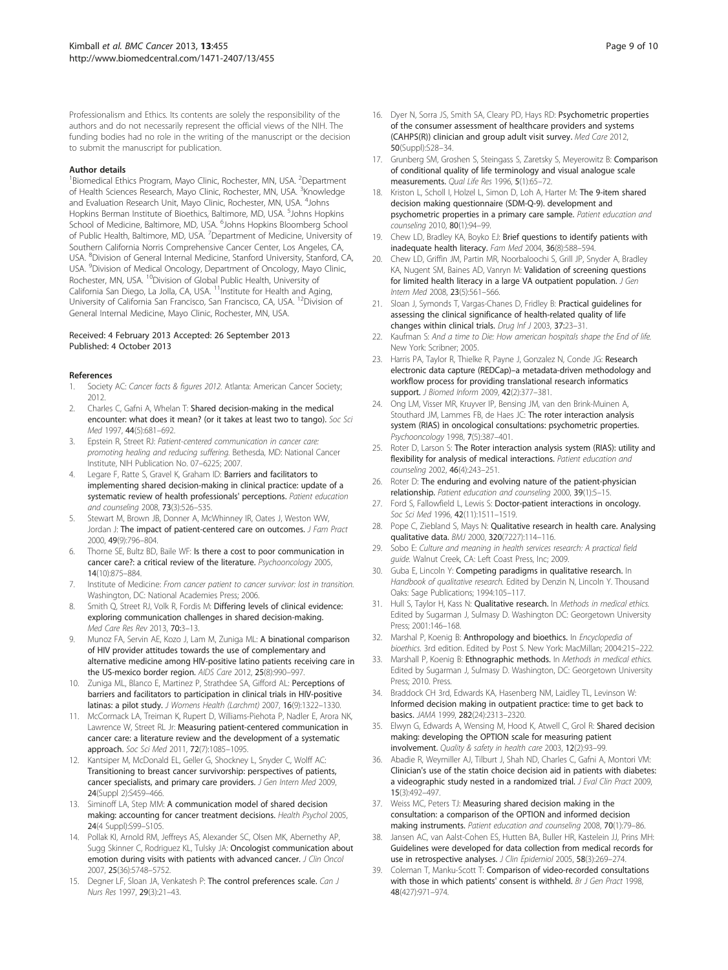<span id="page-8-0"></span>Professionalism and Ethics. Its contents are solely the responsibility of the authors and do not necessarily represent the official views of the NIH. The funding bodies had no role in the writing of the manuscript or the decision to submit the manuscript for publication.

#### Author details

<sup>1</sup> Biomedical Ethics Program, Mayo Clinic, Rochester, MN, USA. <sup>2</sup> Department of Health Sciences Research, Mayo Clinic, Rochester, MN, USA. <sup>3</sup>Knowledge and Evaluation Research Unit, Mayo Clinic, Rochester, MN, USA. <sup>4</sup>Johns Hopkins Berman Institute of Bioethics, Baltimore, MD, USA. <sup>5</sup>Johns Hopkins School of Medicine, Baltimore, MD, USA. <sup>6</sup>Johns Hopkins Bloomberg School of Public Health, Baltimore, MD, USA.<sup>7</sup> Department of Medicine, University of Southern California Norris Comprehensive Cancer Center, Los Angeles, CA, USA. <sup>8</sup>Division of General Internal Medicine, Stanford University, Stanford, CA, USA. <sup>9</sup> Division of Medical Oncology, Department of Oncology, Mayo Clinic, Rochester, MN, USA. <sup>10</sup>Division of Global Public Health, University of California San Diego, La Jolla, CA, USA. <sup>11</sup>Institute for Health and Aging, University of California San Francisco, San Francisco, CA, USA. <sup>12</sup>Division of General Internal Medicine, Mayo Clinic, Rochester, MN, USA.

#### Received: 4 February 2013 Accepted: 26 September 2013 Published: 4 October 2013

#### References

- Society AC: Cancer facts & figures 2012. Atlanta: American Cancer Society; 2012.
- 2. Charles C, Gafni A, Whelan T: Shared decision-making in the medical encounter: what does it mean? (or it takes at least two to tango). Soc Sci Med 1997, 44(5):681–692.
- 3. Epstein R, Street RJ: Patient-centered communication in cancer care: promoting healing and reducing suffering. Bethesda, MD: National Cancer Institute, NIH Publication No. 07–6225; 2007.
- 4. Legare F, Ratte S, Gravel K, Graham ID: Barriers and facilitators to implementing shared decision-making in clinical practice: update of a systematic review of health professionals' perceptions. Patient education and counseling 2008, 73(3):526–535.
- 5. Stewart M, Brown JB, Donner A, McWhinney IR, Oates J, Weston WW, Jordan J: The impact of patient-centered care on outcomes. J Fam Pract 2000, 49(9):796–804.
- Thorne SE, Bultz BD, Baile WF: Is there a cost to poor communication in cancer care?: a critical review of the literature. Psychooncology 2005, 14(10):875–884.
- 7. Institute of Medicine: From cancer patient to cancer survivor: lost in transition. Washington, DC: National Academies Press; 2006.
- 8. Smith Q, Street RJ, Volk R, Fordis M: Differing levels of clinical evidence: exploring communication challenges in shared decision-making. Med Care Res Rev 2013, 70:3–13.
- Munoz FA, Servin AE, Kozo J, Lam M, Zuniga ML: A binational comparison of HIV provider attitudes towards the use of complementary and alternative medicine among HIV-positive latino patients receiving care in the US-mexico border region. AIDS Care 2012, 25(8):990–997.
- 10. Zuniga ML, Blanco E, Martinez P, Strathdee SA, Gifford AL: Perceptions of barriers and facilitators to participation in clinical trials in HIV-positive latinas: a pilot study. J Womens Health (Larchmt) 2007, 16(9):1322–1330.
- 11. McCormack LA, Treiman K, Rupert D, Williams-Piehota P, Nadler E, Arora NK, Lawrence W, Street RL Jr: Measuring patient-centered communication in cancer care: a literature review and the development of a systematic approach. Soc Sci Med 2011, 72(7):1085–1095.
- 12. Kantsiper M, McDonald EL, Geller G, Shockney L, Snyder C, Wolff AC: Transitioning to breast cancer survivorship: perspectives of patients, cancer specialists, and primary care providers. J Gen Intern Med 2009, 24(Suppl 2):S459–466.
- 13. Siminoff LA, Step MM: A communication model of shared decision making: accounting for cancer treatment decisions. Health Psychol 2005, 24(4 Suppl):S99–S105.
- 14. Pollak KI, Arnold RM, Jeffreys AS, Alexander SC, Olsen MK, Abernethy AP, Sugg Skinner C, Rodriguez KL, Tulsky JA: Oncologist communication about emotion during visits with patients with advanced cancer. J Clin Oncol 2007, 25(36):5748–5752.
- 15. Degner LF, Sloan JA, Venkatesh P: The control preferences scale. Can J Nurs Res 1997, 29(3):21–43.
- 16. Dyer N, Sorra JS, Smith SA, Cleary PD, Hays RD: Psychometric properties of the consumer assessment of healthcare providers and systems (CAHPS(R)) clinician and group adult visit survey. Med Care 2012, 50(Suppl):S28–34.
- 17. Grunberg SM, Groshen S, Steingass S, Zaretsky S, Meyerowitz B: Comparison of conditional quality of life terminology and visual analogue scale measurements. Qual Life Res 1996, 5(1):65–72.
- 18. Kriston L, Scholl I, Holzel L, Simon D, Loh A, Harter M: The 9-item shared decision making questionnaire (SDM-Q-9). development and psychometric properties in a primary care sample. Patient education and counseling 2010, 80(1):94–99.
- 19. Chew LD, Bradley KA, Boyko EJ: Brief questions to identify patients with inadequate health literacy. Fam Med 2004, 36(8):588–594.
- 20. Chew LD, Griffin JM, Partin MR, Noorbaloochi S, Grill JP, Snyder A, Bradley KA, Nugent SM, Baines AD, Vanryn M: Validation of screening questions for limited health literacy in a large VA outpatient population. J Gen Intern Med 2008, 23(5):561–566.
- 21. Sloan J, Symonds T, Vargas-Chanes D, Fridley B: Practical guidelines for assessing the clinical significance of health-related quality of life changes within clinical trials. Drug Inf J 2003, 37:23–31.
- 22. Kaufman S: And a time to Die: How american hospitals shape the End of life. New York: Scribner; 2005.
- 23. Harris PA, Taylor R, Thielke R, Payne J, Gonzalez N, Conde JG: Research electronic data capture (REDCap)–a metadata-driven methodology and workflow process for providing translational research informatics support. J Biomed Inform 2009, 42(2):377–381.
- 24. Ong LM, Visser MR, Kruyver IP, Bensing JM, van den Brink-Muinen A, Stouthard JM, Lammes FB, de Haes JC: The roter interaction analysis system (RIAS) in oncological consultations: psychometric properties. Psychooncology 1998, 7(5):387–401.
- 25. Roter D, Larson S: The Roter interaction analysis system (RIAS): utility and flexibility for analysis of medical interactions. Patient education and counseling 2002, 46(4):243–251.
- 26. Roter D: The enduring and evolving nature of the patient-physician relationship. Patient education and counseling 2000, 39(1):5–15.
- 27. Ford S, Fallowfield L, Lewis S: Doctor-patient interactions in oncology. Soc Sci Med 1996, 42(11):1511-1519.
- 28. Pope C, Ziebland S, Mays N: Qualitative research in health care. Analysing qualitative data. BMJ 2000, 320(7227):114–116.
- 29. Sobo E: Culture and meaning in health services research: A practical field guide. Walnut Creek, CA: Left Coast Press, Inc; 2009.
- 30. Guba E, Lincoln Y: Competing paradigms in qualitative research. In Handbook of qualitative research. Edited by Denzin N, Lincoln Y. Thousand Oaks: Sage Publications; 1994:105–117.
- 31. Hull S, Taylor H, Kass N: Qualitative research. In Methods in medical ethics. Edited by Sugarman J, Sulmasy D. Washington DC: Georgetown University Press; 2001:146–168.
- 32. Marshal P, Koenig B: Anthropology and bioethics. In Encyclopedia of bioethics. 3rd edition. Edited by Post S. New York: MacMillan; 2004:215–222.
- 33. Marshall P, Koenig B: Ethnographic methods. In Methods in medical ethics. Edited by Sugarman J, Sulmasy D. Washington, DC: Georgetown University Press; 2010. Press.
- 34. Braddock CH 3rd, Edwards KA, Hasenberg NM, Laidley TL, Levinson W: Informed decision making in outpatient practice: time to get back to basics. JAMA 1999, 282(24):2313–2320.
- 35. Elwyn G, Edwards A, Wensing M, Hood K, Atwell C, Grol R: Shared decision making: developing the OPTION scale for measuring patient involvement. Quality & safety in health care 2003, 12(2):93–99.
- 36. Abadie R, Weymiller AJ, Tilburt J, Shah ND, Charles C, Gafni A, Montori VM: Clinician's use of the statin choice decision aid in patients with diabetes: a videographic study nested in a randomized trial. J Eval Clin Pract 2009, 15(3):492–497.
- 37. Weiss MC, Peters TJ: Measuring shared decision making in the consultation: a comparison of the OPTION and informed decision making instruments. Patient education and counseling 2008, 70(1):79–86.
- 38. Jansen AC, van Aalst-Cohen ES, Hutten BA, Buller HR, Kastelein JJ, Prins MH: Guidelines were developed for data collection from medical records for use in retrospective analyses. J Clin Epidemiol 2005, 58(3):269-274.
- 39. Coleman T, Manku-Scott T: Comparison of video-recorded consultations with those in which patients' consent is withheld. Br J Gen Pract 1998, 48(427):971–974.